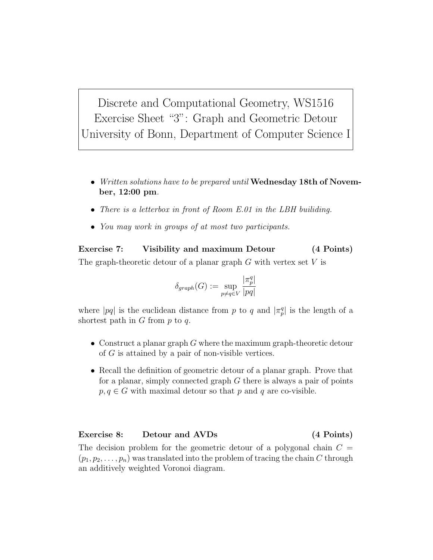Discrete and Computational Geometry, WS1516 Exercise Sheet "3": Graph and Geometric Detour University of Bonn, Department of Computer Science I

- Written solutions have to be prepared until Wednesday 18th of November, 12:00 pm.
- There is a letterbox in front of Room E.01 in the LBH builiding.
- You may work in groups of at most two participants.

Exercise 7: Visibility and maximum Detour (4 Points) The graph-theoretic detour of a planar graph  $G$  with vertex set  $V$  is

$$
\delta_{graph}(G) := \sup_{p \neq q \in V} \frac{|\pi_p^q|}{|pq|}
$$

where |pq| is the euclidean distance from p to q and  $|\pi_p^q|$  is the length of a shortest path in  $G$  from  $p$  to  $q$ .

- Construct a planar graph  $G$  where the maximum graph-theoretic detour of G is attained by a pair of non-visible vertices.
- Recall the definition of geometric detour of a planar graph. Prove that for a planar, simply connected graph  $G$  there is always a pair of points  $p, q \in G$  with maximal detour so that p and q are co-visible.

## Exercise 8: Detour and AVDs (4 Points)

The decision problem for the geometric detour of a polygonal chain  $C =$  $(p_1, p_2, \ldots, p_n)$  was translated into the problem of tracing the chain C through an additively weighted Voronoi diagram.